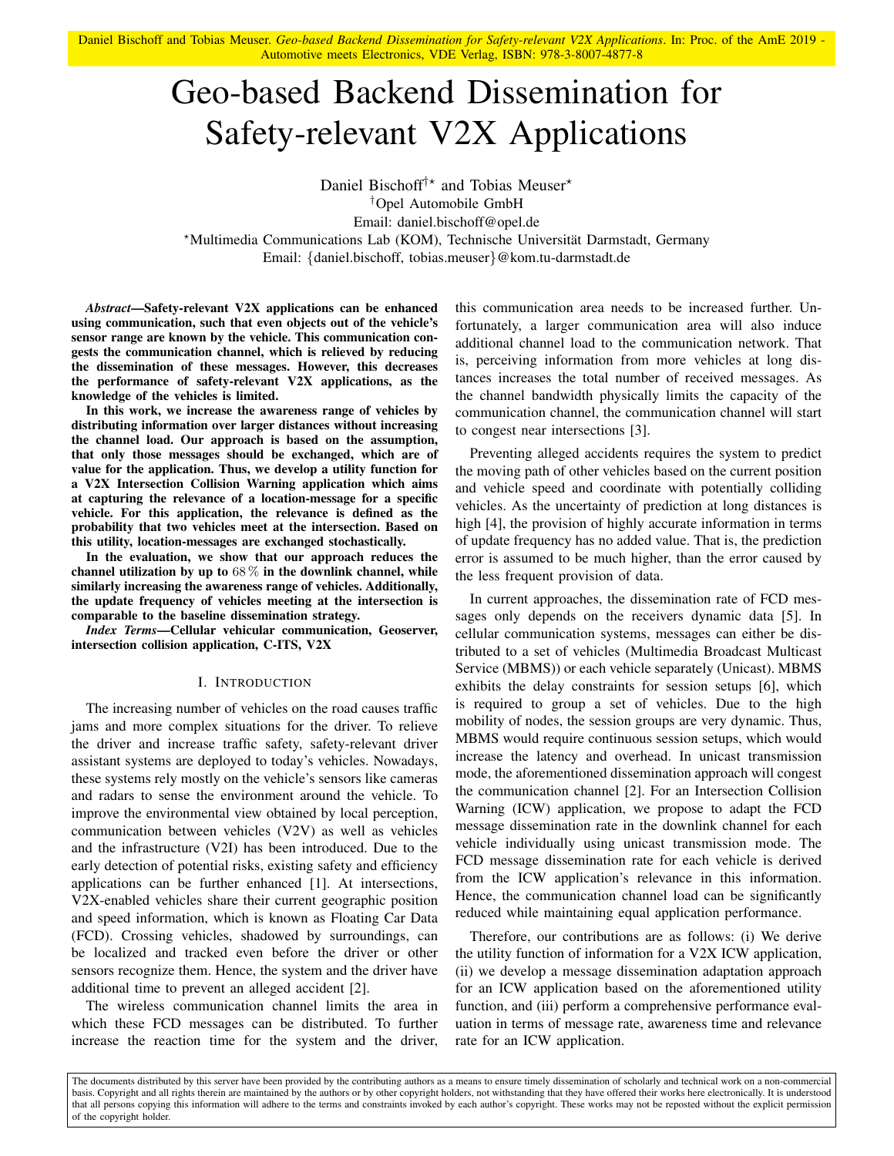<span id="page-0-0"></span>Daniel Bischoff and Tobias Meuser. *Geo-based Backend Dissemination for Safety-relevant V2X Applications*. In: Proc. of the AmE 2019 - Automotive meets Electronics, VDE Verlag, ISBN: 978-3-8007-4877-8

# Geo-based Backend Dissemination for Safety-relevant V2X Applications

Daniel Bischoff<sup>†\*</sup> and Tobias Meuser<sup>\*</sup> †Opel Automobile GmbH Email: daniel.bischoff@opel.de ?Multimedia Communications Lab (KOM), Technische Universitat Darmstadt, Germany ¨ Email: {daniel.bischoff, tobias.meuser}@kom.tu-darmstadt.de

*Abstract*—Safety-relevant V2X applications can be enhanced using communication, such that even objects out of the vehicle's sensor range are known by the vehicle. This communication congests the communication channel, which is relieved by reducing the dissemination of these messages. However, this decreases the performance of safety-relevant V2X applications, as the knowledge of the vehicles is limited.

In this work, we increase the awareness range of vehicles by distributing information over larger distances without increasing the channel load. Our approach is based on the assumption, that only those messages should be exchanged, which are of value for the application. Thus, we develop a utility function for a V2X Intersection Collision Warning application which aims at capturing the relevance of a location-message for a specific vehicle. For this application, the relevance is defined as the probability that two vehicles meet at the intersection. Based on this utility, location-messages are exchanged stochastically.

In the evaluation, we show that our approach reduces the channel utilization by up to  $68\%$  in the downlink channel, while similarly increasing the awareness range of vehicles. Additionally, the update frequency of vehicles meeting at the intersection is comparable to the baseline dissemination strategy.

*Index Terms*—Cellular vehicular communication, Geoserver, intersection collision application, C-ITS, V2X

## I. INTRODUCTION

The increasing number of vehicles on the road causes traffic jams and more complex situations for the driver. To relieve the driver and increase traffic safety, safety-relevant driver assistant systems are deployed to today's vehicles. Nowadays, these systems rely mostly on the vehicle's sensors like cameras and radars to sense the environment around the vehicle. To improve the environmental view obtained by local perception, communication between vehicles (V2V) as well as vehicles and the infrastructure (V2I) has been introduced. Due to the early detection of potential risks, existing safety and efficiency applications can be further enhanced [\[1\]](#page-5-0). At intersections, V2X-enabled vehicles share their current geographic position and speed information, which is known as Floating Car Data (FCD). Crossing vehicles, shadowed by surroundings, can be localized and tracked even before the driver or other sensors recognize them. Hence, the system and the driver have additional time to prevent an alleged accident [\[2\]](#page-5-1).

The wireless communication channel limits the area in which these FCD messages can be distributed. To further increase the reaction time for the system and the driver, this communication area needs to be increased further. Unfortunately, a larger communication area will also induce additional channel load to the communication network. That is, perceiving information from more vehicles at long distances increases the total number of received messages. As the channel bandwidth physically limits the capacity of the communication channel, the communication channel will start to congest near intersections [\[3\]](#page-5-2).

Preventing alleged accidents requires the system to predict the moving path of other vehicles based on the current position and vehicle speed and coordinate with potentially colliding vehicles. As the uncertainty of prediction at long distances is high [\[4\]](#page-5-3), the provision of highly accurate information in terms of update frequency has no added value. That is, the prediction error is assumed to be much higher, than the error caused by the less frequent provision of data.

In current approaches, the dissemination rate of FCD messages only depends on the receivers dynamic data [\[5\]](#page-5-4). In cellular communication systems, messages can either be distributed to a set of vehicles (Multimedia Broadcast Multicast Service (MBMS)) or each vehicle separately (Unicast). MBMS exhibits the delay constraints for session setups [\[6\]](#page-5-5), which is required to group a set of vehicles. Due to the high mobility of nodes, the session groups are very dynamic. Thus, MBMS would require continuous session setups, which would increase the latency and overhead. In unicast transmission mode, the aforementioned dissemination approach will congest the communication channel [\[2\]](#page-5-1). For an Intersection Collision Warning (ICW) application, we propose to adapt the FCD message dissemination rate in the downlink channel for each vehicle individually using unicast transmission mode. The FCD message dissemination rate for each vehicle is derived from the ICW application's relevance in this information. Hence, the communication channel load can be significantly reduced while maintaining equal application performance.

Therefore, our contributions are as follows: (i) We derive the utility function of information for a V2X ICW application, (ii) we develop a message dissemination adaptation approach for an ICW application based on the aforementioned utility function, and (iii) perform a comprehensive performance evaluation in terms of message rate, awareness time and relevance rate for an ICW application.

The documents distributed by this server have been provided by the contributing authors as a means to ensure timely dissemination of scholarly and technical work on a non-commercial basis. Copyright and all rights therein are maintained by the authors or by other copyright holders, not withstanding that they have offered their works here electronically. It is understood that all persons copying this information will adhere to the terms and constraints invoked by each author's copyright. These works may not be reposted without the explicit permission of the copyright holder.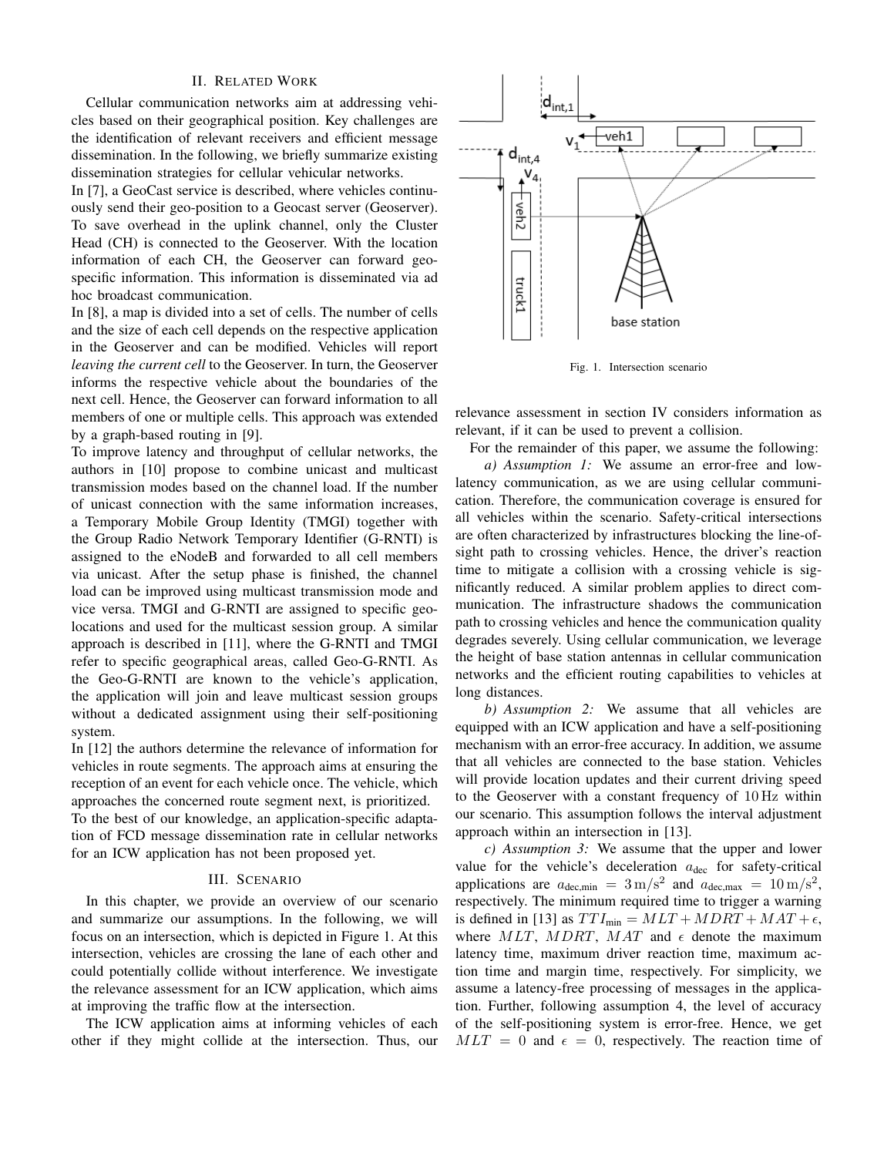# II. RELATED WORK

Cellular communication networks aim at addressing vehicles based on their geographical position. Key challenges are the identification of relevant receivers and efficient message dissemination. In the following, we briefly summarize existing dissemination strategies for cellular vehicular networks.

In [\[7\]](#page-5-6), a GeoCast service is described, where vehicles continuously send their geo-position to a Geocast server (Geoserver). To save overhead in the uplink channel, only the [Cluster](#page-0-0) [Head \(CH\)](#page-0-0) is connected to the Geoserver. With the location information of each [CH,](#page-0-0) the Geoserver can forward geospecific information. This information is disseminated via ad hoc broadcast communication.

In [\[8\]](#page-5-7), a map is divided into a set of cells. The number of cells and the size of each cell depends on the respective application in the Geoserver and can be modified. Vehicles will report *leaving the current cell* to the Geoserver. In turn, the Geoserver informs the respective vehicle about the boundaries of the next cell. Hence, the Geoserver can forward information to all members of one or multiple cells. This approach was extended by a graph-based routing in [\[9\]](#page-5-8).

To improve latency and throughput of cellular networks, the authors in [\[10\]](#page-5-9) propose to combine unicast and multicast transmission modes based on the channel load. If the number of unicast connection with the same information increases, a [Temporary Mobile Group Identity \(TMGI\)](#page-0-0) together with the [Group Radio Network Temporary Identifier \(G-RNTI\)](#page-0-0) is assigned to the eNodeB and forwarded to all cell members via unicast. After the setup phase is finished, the channel load can be improved using multicast transmission mode and vice versa. [TMGI](#page-0-0) and [G-RNTI](#page-0-0) are assigned to specific geolocations and used for the multicast session group. A similar approach is described in [\[11\]](#page-5-10), where the [G-RNTI](#page-0-0) and [TMGI](#page-0-0) refer to specific geographical areas, called Geo[-G-RNTI.](#page-0-0) As the Geo[-G-RNTI](#page-0-0) are known to the vehicle's application, the application will join and leave multicast session groups without a dedicated assignment using their self-positioning system.

In [\[12\]](#page-5-11) the authors determine the relevance of information for vehicles in route segments. The approach aims at ensuring the reception of an event for each vehicle once. The vehicle, which approaches the concerned route segment next, is prioritized. To the best of our knowledge, an application-specific adaptation of [FCD](#page-0-0) message dissemination rate in cellular networks for an [ICW](#page-0-0) application has not been proposed yet.

### III. SCENARIO

In this chapter, we provide an overview of our scenario and summarize our assumptions. In the following, we will focus on an intersection, which is depicted in [Figure 1.](#page-1-0) At this intersection, vehicles are crossing the lane of each other and could potentially collide without interference. We investigate the relevance assessment for an [ICW](#page-0-0) application, which aims at improving the traffic flow at the intersection.

The [ICW](#page-0-0) application aims at informing vehicles of each other if they might collide at the intersection. Thus, our



<span id="page-1-0"></span>Fig. 1. Intersection scenario

relevance assessment in [section IV](#page-2-0) considers information as relevant, if it can be used to prevent a collision.

For the remainder of this paper, we assume the following:

*a) Assumption 1:* We assume an error-free and lowlatency communication, as we are using cellular communication. Therefore, the communication coverage is ensured for all vehicles within the scenario. Safety-critical intersections are often characterized by infrastructures blocking the line-ofsight path to crossing vehicles. Hence, the driver's reaction time to mitigate a collision with a crossing vehicle is significantly reduced. A similar problem applies to direct communication. The infrastructure shadows the communication path to crossing vehicles and hence the communication quality degrades severely. Using cellular communication, we leverage the height of base station antennas in cellular communication networks and the efficient routing capabilities to vehicles at long distances.

*b) Assumption 2:* We assume that all vehicles are equipped with an [ICW](#page-0-0) application and have a self-positioning mechanism with an error-free accuracy. In addition, we assume that all vehicles are connected to the base station. Vehicles will provide location updates and their current driving speed to the Geoserver with a constant frequency of 10 Hz within our scenario. This assumption follows the interval adjustment approach within an intersection in [\[13\]](#page-5-12).

*c) Assumption 3:* We assume that the upper and lower value for the vehicle's deceleration  $a_{\text{dec}}$  for safety-critical applications are  $a_{\text{dec,min}} = 3 \text{ m/s}^2$  and  $a_{\text{dec,max}} = 10 \text{ m/s}^2$ , respectively. The minimum required time to trigger a warning is defined in [\[13\]](#page-5-12) as  $TTI_{min} = MLT + MDRT + MAT + \epsilon$ , where  $MLT$ ,  $MDRT$ ,  $MAT$  and  $\epsilon$  denote the maximum latency time, maximum driver reaction time, maximum action time and margin time, respectively. For simplicity, we assume a latency-free processing of messages in the application. Further, following assumption 4, the level of accuracy of the self-positioning system is error-free. Hence, we get  $MLT = 0$  and  $\epsilon = 0$ , respectively. The reaction time of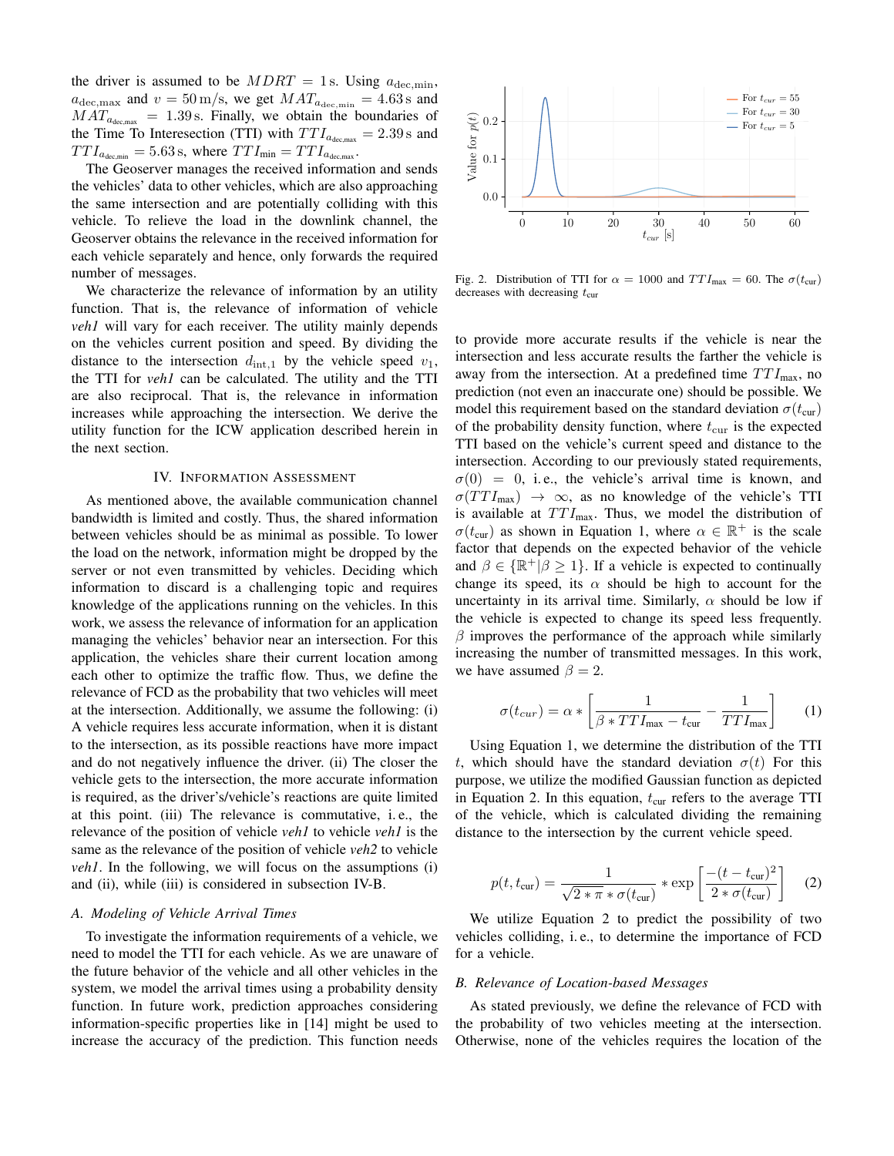the driver is assumed to be  $MDRT = 1$  s. Using  $a_{\text{dec,min}}$ ,  $a_{\text{dec,max}}$  and  $v = 50 \text{ m/s}$ , we get  $MAT_{a_{\text{dec,min}}} = 4.63 \text{ s}$  and  $MAT_{a_{\text{dec,max}}} = 1.39 \text{ s.}$  Finally, we obtain the boundaries of the [Time To Interesection \(TTI\)](#page-0-0) with  $TTI_{a_{\text{dec,max}}} = 2.39 \text{ s}$  and  $TTI_{a_{\text{dec,min}}} = 5.63 \text{ s}$ , where  $TTI_{\text{min}} = TTI_{a_{\text{dec,max}}}$ .

The Geoserver manages the received information and sends the vehicles' data to other vehicles, which are also approaching the same intersection and are potentially colliding with this vehicle. To relieve the load in the downlink channel, the Geoserver obtains the relevance in the received information for each vehicle separately and hence, only forwards the required number of messages.

We characterize the relevance of information by an utility function. That is, the relevance of information of vehicle *veh1* will vary for each receiver. The utility mainly depends on the vehicles current position and speed. By dividing the distance to the intersection  $d_{int,1}$  by the vehicle speed  $v_1$ , the [TTI](#page-0-0) for *veh1* can be calculated. The utility and the [TTI](#page-0-0) are also reciprocal. That is, the relevance in information increases while approaching the intersection. We derive the utility function for the [ICW](#page-0-0) application described herein in the next section.

#### IV. INFORMATION ASSESSMENT

<span id="page-2-0"></span>As mentioned above, the available communication channel bandwidth is limited and costly. Thus, the shared information between vehicles should be as minimal as possible. To lower the load on the network, information might be dropped by the server or not even transmitted by vehicles. Deciding which information to discard is a challenging topic and requires knowledge of the applications running on the vehicles. In this work, we assess the relevance of information for an application managing the vehicles' behavior near an intersection. For this application, the vehicles share their current location among each other to optimize the traffic flow. Thus, we define the relevance of [FCD](#page-0-0) as the probability that two vehicles will meet at the intersection. Additionally, we assume the following: (i) A vehicle requires less accurate information, when it is distant to the intersection, as its possible reactions have more impact and do not negatively influence the driver. (ii) The closer the vehicle gets to the intersection, the more accurate information is required, as the driver's/vehicle's reactions are quite limited at this point. (iii) The relevance is commutative, i. e., the relevance of the position of vehicle *veh1* to vehicle *veh1* is the same as the relevance of the position of vehicle *veh2* to vehicle *veh1*. In the following, we will focus on the assumptions (i) and (ii), while (iii) is considered in [subsection IV-B.](#page-2-1)

# *A. Modeling of Vehicle Arrival Times*

To investigate the information requirements of a vehicle, we need to model the [TTI](#page-0-0) for each vehicle. As we are unaware of the future behavior of the vehicle and all other vehicles in the system, we model the arrival times using a probability density function. In future work, prediction approaches considering information-specific properties like in [\[14\]](#page-5-13) might be used to increase the accuracy of the prediction. This function needs



Fig. 2. Distribution of [TTI](#page-0-0) for  $\alpha = 1000$  and  $TTI_{\text{max}} = 60$ . The  $\sigma(t_{\text{cur}})$ decreases with decreasing  $t_{\text{cur}}$ 

to provide more accurate results if the vehicle is near the intersection and less accurate results the farther the vehicle is away from the intersection. At a predefined time  $TTI_{\text{max}}$ , no prediction (not even an inaccurate one) should be possible. We model this requirement based on the standard deviation  $\sigma(t_{\text{cur}})$ of the probability density function, where  $t_{\text{cur}}$  is the expected [TTI](#page-0-0) based on the vehicle's current speed and distance to the intersection. According to our previously stated requirements,  $\sigma(0) = 0$ , i.e., the vehicle's arrival time is known, and  $\sigma(TTI_{\text{max}}) \rightarrow \infty$ , as no knowledge of the vehicle's [TTI](#page-0-0) is available at  $TTI_{\text{max}}$ . Thus, we model the distribution of  $\sigma(t_{\text{cur}})$  as shown in [Equation 1,](#page-2-2) where  $\alpha \in \mathbb{R}^+$  is the scale factor that depends on the expected behavior of the vehicle and  $\beta \in {\mathbb R}^+|\beta \geq 1$ . If a vehicle is expected to continually change its speed, its  $\alpha$  should be high to account for the uncertainty in its arrival time. Similarly,  $\alpha$  should be low if the vehicle is expected to change its speed less frequently.  $\beta$  improves the performance of the approach while similarly increasing the number of transmitted messages. In this work, we have assumed  $\beta = 2$ .

<span id="page-2-2"></span>
$$
\sigma(t_{cur}) = \alpha * \left[ \frac{1}{\beta * T T I_{\text{max}} - t_{\text{cur}}} - \frac{1}{T T I_{\text{max}}} \right] \tag{1}
$$

Using [Equation 1,](#page-2-2) we determine the distribution of the [TTI](#page-0-0) t, which should have the standard deviation  $\sigma(t)$  For this purpose, we utilize the modified Gaussian function as depicted in [Equation 2.](#page-2-3) In this equation,  $t_{\text{cur}}$  refers to the average [TTI](#page-0-0) of the vehicle, which is calculated dividing the remaining distance to the intersection by the current vehicle speed.

<span id="page-2-3"></span>
$$
p(t, t_{\text{cur}}) = \frac{1}{\sqrt{2 \times \pi} \times \sigma(t_{\text{cur}})} \times \exp\left[\frac{-(t - t_{\text{cur}})^2}{2 \times \sigma(t_{\text{cur}})}\right]
$$
(2)

We utilize [Equation 2](#page-2-3) to predict the possibility of two vehicles colliding, i. e., to determine the importance of [FCD](#page-0-0) for a vehicle.

#### <span id="page-2-1"></span>*B. Relevance of Location-based Messages*

As stated previously, we define the relevance of [FCD](#page-0-0) with the probability of two vehicles meeting at the intersection. Otherwise, none of the vehicles requires the location of the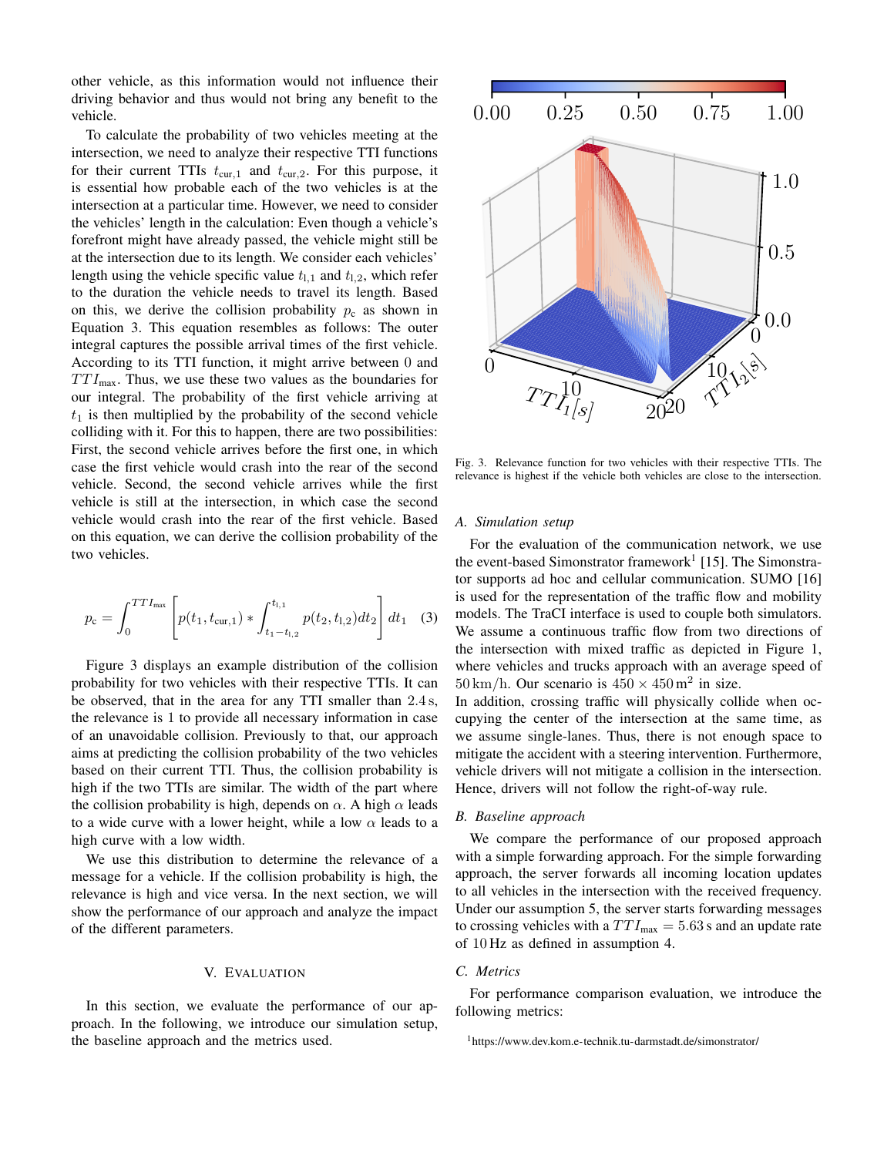other vehicle, as this information would not influence their driving behavior and thus would not bring any benefit to the vehicle.

To calculate the probability of two vehicles meeting at the intersection, we need to analyze their respective [TTI](#page-0-0) functions for their current [TTIs](#page-0-0)  $t_{\text{cur},1}$  and  $t_{\text{cur},2}$ . For this purpose, it is essential how probable each of the two vehicles is at the intersection at a particular time. However, we need to consider the vehicles' length in the calculation: Even though a vehicle's forefront might have already passed, the vehicle might still be at the intersection due to its length. We consider each vehicles' length using the vehicle specific value  $t_{1,1}$  and  $t_{1,2}$ , which refer to the duration the vehicle needs to travel its length. Based on this, we derive the collision probability  $p_c$  as shown in [Equation 3.](#page-3-0) This equation resembles as follows: The outer integral captures the possible arrival times of the first vehicle. According to its [TTI](#page-0-0) function, it might arrive between 0 and  $TTI_{\text{max}}$ . Thus, we use these two values as the boundaries for our integral. The probability of the first vehicle arriving at  $t_1$  is then multiplied by the probability of the second vehicle colliding with it. For this to happen, there are two possibilities: First, the second vehicle arrives before the first one, in which case the first vehicle would crash into the rear of the second vehicle. Second, the second vehicle arrives while the first vehicle is still at the intersection, in which case the second vehicle would crash into the rear of the first vehicle. Based on this equation, we can derive the collision probability of the two vehicles.

<span id="page-3-0"></span>
$$
p_{\rm c} = \int_0^{TTT_{\rm max}} \left[ p(t_1, t_{\rm cur,1}) * \int_{t_1 - t_{\rm l,2}}^{t_{\rm l,1}} p(t_2, t_{\rm l,2}) dt_2 \right] dt_1 \quad (3)
$$

[Figure 3](#page-3-1) displays an example distribution of the collision probability for two vehicles with their respective [TTIs.](#page-0-0) It can be observed, that in the area for any [TTI](#page-0-0) smaller than 2.4 s, the relevance is 1 to provide all necessary information in case of an unavoidable collision. Previously to that, our approach aims at predicting the collision probability of the two vehicles based on their current [TTI.](#page-0-0) Thus, the collision probability is high if the two [TTIs](#page-0-0) are similar. The width of the part where the collision probability is high, depends on  $\alpha$ . A high  $\alpha$  leads to a wide curve with a lower height, while a low  $\alpha$  leads to a high curve with a low width.

We use this distribution to determine the relevance of a message for a vehicle. If the collision probability is high, the relevance is high and vice versa. In the next section, we will show the performance of our approach and analyze the impact of the different parameters.

## V. EVALUATION

In this section, we evaluate the performance of our approach. In the following, we introduce our simulation setup, the baseline approach and the metrics used.



<span id="page-3-1"></span>Fig. 3. Relevance function for two vehicles with their respective [TTIs.](#page-0-0) The relevance is highest if the vehicle both vehicles are close to the intersection.

#### *A. Simulation setup*

For the evaluation of the communication network, we use the event-based Simonstrator framework<sup>[1](#page-3-2)</sup> [\[15\]](#page-5-14). The Simonstrator supports ad hoc and cellular communication. SUMO [\[16\]](#page-5-15) is used for the representation of the traffic flow and mobility models. The TraCI interface is used to couple both simulators. We assume a continuous traffic flow from two directions of the intersection with mixed traffic as depicted in [Figure 1,](#page-1-0) where vehicles and trucks approach with an average speed of  $50 \text{ km/h}$ . Our scenario is  $450 \times 450 \text{ m}^2$  in size.

In addition, crossing traffic will physically collide when occupying the center of the intersection at the same time, as we assume single-lanes. Thus, there is not enough space to mitigate the accident with a steering intervention. Furthermore, vehicle drivers will not mitigate a collision in the intersection. Hence, drivers will not follow the right-of-way rule.

## *B. Baseline approach*

We compare the performance of our proposed approach with a simple forwarding approach. For the simple forwarding approach, the server forwards all incoming location updates to all vehicles in the intersection with the received frequency. Under our assumption 5, the server starts forwarding messages to crossing vehicles with a  $TTI_{\text{max}} = 5.63$  s and an update rate of 10 Hz as defined in assumption 4.

# *C. Metrics*

For performance comparison evaluation, we introduce the following metrics:

<span id="page-3-2"></span><sup>1</sup><https://www.dev.kom.e-technik.tu-darmstadt.de/simonstrator/>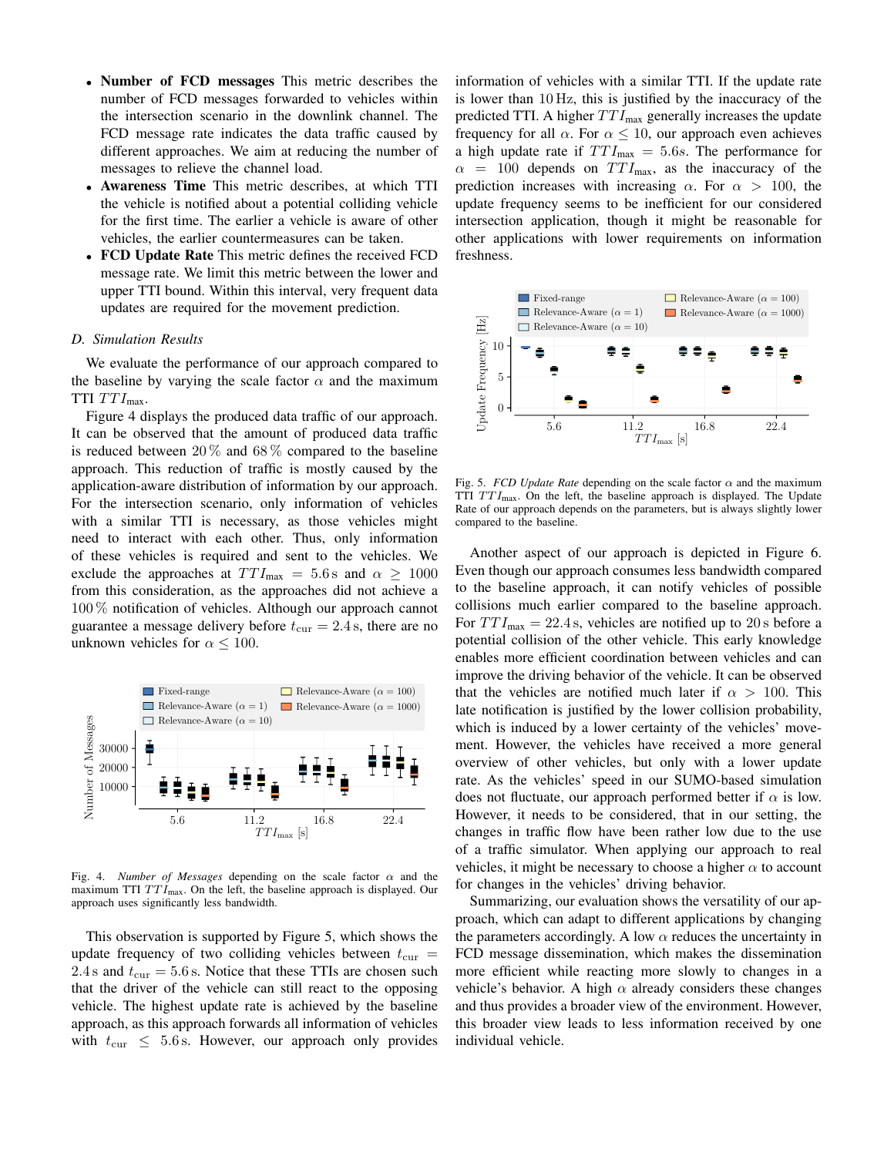- Number of [FCD](#page-0-0) messages This metric describes the number of [FCD](#page-0-0) messages forwarded to vehicles within the intersection scenario in the downlink channel. The [FCD](#page-0-0) message rate indicates the data traffic caused by different approaches. We aim at reducing the number of messages to relieve the channel load.
- Awareness Time This metric describes, at which [TTI](#page-0-0) the vehicle is notified about a potential colliding vehicle for the first time. The earlier a vehicle is aware of other vehicles, the earlier countermeasures can be taken.
- [FCD](#page-0-0) Update Rate This metric defines the received [FCD](#page-0-0) message rate. We limit this metric between the lower and upper [TTI](#page-0-0) bound. Within this interval, very frequent data updates are required for the movement prediction.

### *D. Simulation Results*

We evaluate the performance of our approach compared to the baseline by varying the scale factor  $\alpha$  and the maximum [TTI](#page-0-0)  $TTI_{\text{max}}$ .

[Figure 4](#page-4-0) displays the produced data traffic of our approach. It can be observed that the amount of produced data traffic is reduced between  $20\%$  and  $68\%$  compared to the baseline approach. This reduction of traffic is mostly caused by the application-aware distribution of information by our approach. For the intersection scenario, only information of vehicles with a similar [TTI](#page-0-0) is necessary, as those vehicles might need to interact with each other. Thus, only information of these vehicles is required and sent to the vehicles. We exclude the approaches at  $TTI_{\text{max}} = 5.6 \text{ s}$  and  $\alpha \geq 1000$ from this consideration, as the approaches did not achieve a 100 % notification of vehicles. Although our approach cannot guarantee a message delivery before  $t_{\text{cur}} = 2.4$  s, there are no unknown vehicles for  $\alpha \leq 100$ .



<span id="page-4-0"></span>Fig. 4. *Number of Messages* depending on the scale factor  $\alpha$  and the maximum [TTI](#page-0-0)  $TTI_{\text{max}}$ . On the left, the baseline approach is displayed. Our approach uses significantly less bandwidth.

This observation is supported by [Figure 5,](#page-4-1) which shows the update frequency of two colliding vehicles between  $t_{\text{cur}} =$ 2.4 s and  $t_{\text{cur}} = 5.6$  s. Notice that these [TTIs](#page-0-0) are chosen such that the driver of the vehicle can still react to the opposing vehicle. The highest update rate is achieved by the baseline approach, as this approach forwards all information of vehicles with  $t_{\text{cur}} \leq 5.6$  s. However, our approach only provides information of vehicles with a similar [TTI.](#page-0-0) If the update rate is lower than 10 Hz, this is justified by the inaccuracy of the predicted [TTI.](#page-0-0) A higher  $TTI_{\text{max}}$  generally increases the update frequency for all  $\alpha$ . For  $\alpha \leq 10$ , our approach even achieves a high update rate if  $TTI_{\text{max}} = 5.6s$ . The performance for  $\alpha$  = 100 depends on  $TTI_{\text{max}}$ , as the inaccuracy of the prediction increases with increasing  $\alpha$ . For  $\alpha > 100$ , the update frequency seems to be inefficient for our considered intersection application, though it might be reasonable for other applications with lower requirements on information freshness.



<span id="page-4-1"></span>Fig. 5. *[FCD](#page-0-0) Update Rate* depending on the scale factor  $\alpha$  and the maximum [TTI](#page-0-0)  $TTI_{\text{max}}$ . On the left, the baseline approach is displayed. The Update Rate of our approach depends on the parameters, but is always slightly lower compared to the baseline.

Another aspect of our approach is depicted in [Figure 6.](#page-5-16) Even though our approach consumes less bandwidth compared to the baseline approach, it can notify vehicles of possible collisions much earlier compared to the baseline approach. For  $TTI_{\text{max}} = 22.4$  s, vehicles are notified up to 20 s before a potential collision of the other vehicle. This early knowledge enables more efficient coordination between vehicles and can improve the driving behavior of the vehicle. It can be observed that the vehicles are notified much later if  $\alpha > 100$ . This late notification is justified by the lower collision probability, which is induced by a lower certainty of the vehicles' movement. However, the vehicles have received a more general overview of other vehicles, but only with a lower update rate. As the vehicles' speed in our SUMO-based simulation does not fluctuate, our approach performed better if  $\alpha$  is low. However, it needs to be considered, that in our setting, the changes in traffic flow have been rather low due to the use of a traffic simulator. When applying our approach to real vehicles, it might be necessary to choose a higher  $\alpha$  to account for changes in the vehicles' driving behavior.

Summarizing, our evaluation shows the versatility of our approach, which can adapt to different applications by changing the parameters accordingly. A low  $\alpha$  reduces the uncertainty in [FCD](#page-0-0) message dissemination, which makes the dissemination more efficient while reacting more slowly to changes in a vehicle's behavior. A high  $\alpha$  already considers these changes and thus provides a broader view of the environment. However, this broader view leads to less information received by one individual vehicle.